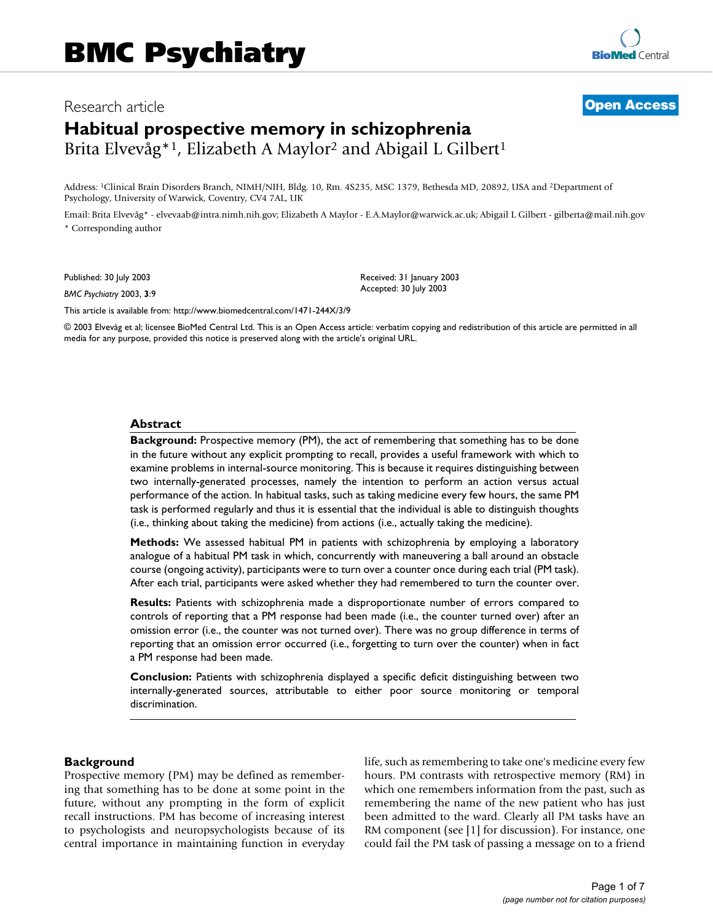# Research article **[Open Access](http://www.biomedcentral.com/info/about/charter/) Habitual prospective memory in schizophrenia** Brita Elvevåg<sup>\*1</sup>, Elizabeth A Maylor<sup>2</sup> and Abigail L Gilbert<sup>1</sup>

Address: 1Clinical Brain Disorders Branch, NIMH/NIH, Bldg. 10, Rm. 4S235, MSC 1379, Bethesda MD, 20892, USA and 2Department of Psychology, University of Warwick, Coventry, CV4 7AL, UK

Email: Brita Elvevåg\* - elvevaab@intra.nimh.nih.gov; Elizabeth A Maylor - E.A.Maylor@warwick.ac.uk; Abigail L Gilbert - gilberta@mail.nih.gov \* Corresponding author

Published: 30 July 2003

*BMC Psychiatry* 2003, **3**:9

Received: 31 January 2003 Accepted: 30 July 2003

[This article is available from: http://www.biomedcentral.com/1471-244X/3/9](http://www.biomedcentral.com/1471-244X/3/9)

© 2003 Elvevåg et al; licensee BioMed Central Ltd. This is an Open Access article: verbatim copying and redistribution of this article are permitted in all media for any purpose, provided this notice is preserved along with the article's original URL.

# **Abstract**

**Background:** Prospective memory (PM), the act of remembering that something has to be done in the future without any explicit prompting to recall, provides a useful framework with which to examine problems in internal-source monitoring. This is because it requires distinguishing between two internally-generated processes, namely the intention to perform an action versus actual performance of the action. In habitual tasks, such as taking medicine every few hours, the same PM task is performed regularly and thus it is essential that the individual is able to distinguish thoughts (i.e., thinking about taking the medicine) from actions (i.e., actually taking the medicine).

**Methods:** We assessed habitual PM in patients with schizophrenia by employing a laboratory analogue of a habitual PM task in which, concurrently with maneuvering a ball around an obstacle course (ongoing activity), participants were to turn over a counter once during each trial (PM task). After each trial, participants were asked whether they had remembered to turn the counter over.

**Results:** Patients with schizophrenia made a disproportionate number of errors compared to controls of reporting that a PM response had been made (i.e., the counter turned over) after an omission error (i.e., the counter was not turned over). There was no group difference in terms of reporting that an omission error occurred (i.e., forgetting to turn over the counter) when in fact a PM response had been made.

**Conclusion:** Patients with schizophrenia displayed a specific deficit distinguishing between two internally-generated sources, attributable to either poor source monitoring or temporal discrimination.

# **Background**

Prospective memory (PM) may be defined as remembering that something has to be done at some point in the future, without any prompting in the form of explicit recall instructions. PM has become of increasing interest to psychologists and neuropsychologists because of its central importance in maintaining function in everyday life, such as remembering to take one's medicine every few hours. PM contrasts with retrospective memory (RM) in which one remembers information from the past, such as remembering the name of the new patient who has just been admitted to the ward. Clearly all PM tasks have an RM component (see [1] for discussion). For instance, one could fail the PM task of passing a message on to a friend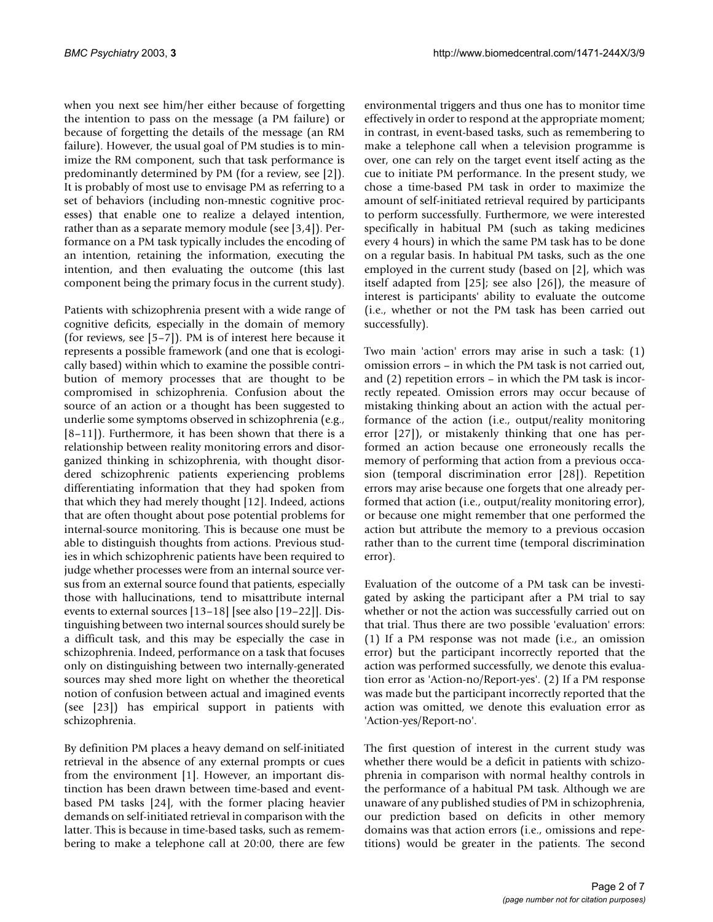when you next see him/her either because of forgetting the intention to pass on the message (a PM failure) or because of forgetting the details of the message (an RM failure). However, the usual goal of PM studies is to minimize the RM component, such that task performance is predominantly determined by PM (for a review, see [2]). It is probably of most use to envisage PM as referring to a set of behaviors (including non-mnestic cognitive processes) that enable one to realize a delayed intention, rather than as a separate memory module (see [3,4]). Performance on a PM task typically includes the encoding of an intention, retaining the information, executing the intention, and then evaluating the outcome (this last component being the primary focus in the current study).

Patients with schizophrenia present with a wide range of cognitive deficits, especially in the domain of memory (for reviews, see [5–7]). PM is of interest here because it represents a possible framework (and one that is ecologically based) within which to examine the possible contribution of memory processes that are thought to be compromised in schizophrenia. Confusion about the source of an action or a thought has been suggested to underlie some symptoms observed in schizophrenia (e.g., [8–11]). Furthermore, it has been shown that there is a relationship between reality monitoring errors and disorganized thinking in schizophrenia, with thought disordered schizophrenic patients experiencing problems differentiating information that they had spoken from that which they had merely thought [12]. Indeed, actions that are often thought about pose potential problems for internal-source monitoring. This is because one must be able to distinguish thoughts from actions. Previous studies in which schizophrenic patients have been required to judge whether processes were from an internal source versus from an external source found that patients, especially those with hallucinations, tend to misattribute internal events to external sources [13–18] [see also [19–22]]. Distinguishing between two internal sources should surely be a difficult task, and this may be especially the case in schizophrenia. Indeed, performance on a task that focuses only on distinguishing between two internally-generated sources may shed more light on whether the theoretical notion of confusion between actual and imagined events (see [23]) has empirical support in patients with schizophrenia.

By definition PM places a heavy demand on self-initiated retrieval in the absence of any external prompts or cues from the environment [1]. However, an important distinction has been drawn between time-based and eventbased PM tasks [24], with the former placing heavier demands on self-initiated retrieval in comparison with the latter. This is because in time-based tasks, such as remembering to make a telephone call at 20:00, there are few

environmental triggers and thus one has to monitor time effectively in order to respond at the appropriate moment; in contrast, in event-based tasks, such as remembering to make a telephone call when a television programme is over, one can rely on the target event itself acting as the cue to initiate PM performance. In the present study, we chose a time-based PM task in order to maximize the amount of self-initiated retrieval required by participants to perform successfully. Furthermore, we were interested specifically in habitual PM (such as taking medicines every 4 hours) in which the same PM task has to be done on a regular basis. In habitual PM tasks, such as the one employed in the current study (based on [2], which was itself adapted from [25]; see also [26]), the measure of interest is participants' ability to evaluate the outcome (i.e., whether or not the PM task has been carried out successfully).

Two main 'action' errors may arise in such a task: (1) omission errors – in which the PM task is not carried out, and (2) repetition errors – in which the PM task is incorrectly repeated. Omission errors may occur because of mistaking thinking about an action with the actual performance of the action (i.e., output/reality monitoring error [27]), or mistakenly thinking that one has performed an action because one erroneously recalls the memory of performing that action from a previous occasion (temporal discrimination error [28]). Repetition errors may arise because one forgets that one already performed that action (i.e., output/reality monitoring error), or because one might remember that one performed the action but attribute the memory to a previous occasion rather than to the current time (temporal discrimination error).

Evaluation of the outcome of a PM task can be investigated by asking the participant after a PM trial to say whether or not the action was successfully carried out on that trial. Thus there are two possible 'evaluation' errors: (1) If a PM response was not made (i.e., an omission error) but the participant incorrectly reported that the action was performed successfully, we denote this evaluation error as 'Action-no/Report-yes'. (2) If a PM response was made but the participant incorrectly reported that the action was omitted, we denote this evaluation error as 'Action-yes/Report-no'.

The first question of interest in the current study was whether there would be a deficit in patients with schizophrenia in comparison with normal healthy controls in the performance of a habitual PM task. Although we are unaware of any published studies of PM in schizophrenia, our prediction based on deficits in other memory domains was that action errors (i.e., omissions and repetitions) would be greater in the patients. The second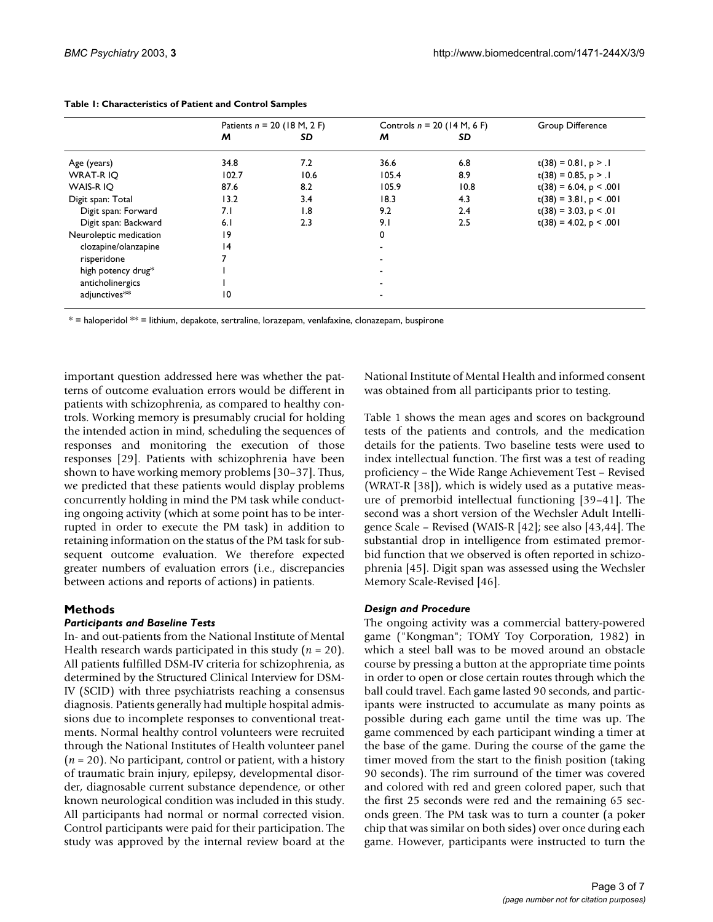|                        | Patients $n = 20$ (18 M, 2 F) |      | Controls $n = 20$ (14 M, 6 F) |      | Group Difference            |  |
|------------------------|-------------------------------|------|-------------------------------|------|-----------------------------|--|
|                        | M                             | SD   | м                             | SD.  |                             |  |
| Age (years)            | 34.8                          | 7.2  | 36.6                          | 6.8  | $t(38) = 0.81, p > .1$      |  |
| <b>WRAT-RIO</b>        | 102.7                         | 10.6 | 105.4                         | 8.9  | $t(38) = 0.85$ , p > .      |  |
| WAIS-R IO              | 87.6                          | 8.2  | 105.9                         | 10.8 | $t(38) = 6.04$ , p < .001   |  |
| Digit span: Total      | 13.2                          | 3.4  | 18.3                          | 4.3  | $t(38) = 3.81$ , $p < .001$ |  |
| Digit span: Forward    | 7.I                           | 1.8  | 9.2                           | 2.4  | $t(38) = 3.03$ , $p < .01$  |  |
| Digit span: Backward   | 6.1                           | 2.3  | 9.1                           | 2.5  | $t(38) = 4.02$ , $p < .001$ |  |
| Neuroleptic medication | 19                            |      | 0                             |      |                             |  |
| clozapine/olanzapine   | 4                             |      |                               |      |                             |  |
| risperidone            | 7                             |      |                               |      |                             |  |
| high potency drug*     |                               |      |                               |      |                             |  |
| anticholinergics       |                               |      |                               |      |                             |  |
| adjunctives**          | $\overline{10}$               |      |                               |      |                             |  |

<span id="page-2-0"></span>

| Table 1: Characteristics of Patient and Control Samples |  |  |
|---------------------------------------------------------|--|--|
|                                                         |  |  |

\* = haloperidol \*\* = lithium, depakote, sertraline, lorazepam, venlafaxine, clonazepam, buspirone

important question addressed here was whether the patterns of outcome evaluation errors would be different in patients with schizophrenia, as compared to healthy controls. Working memory is presumably crucial for holding the intended action in mind, scheduling the sequences of responses and monitoring the execution of those responses [29]. Patients with schizophrenia have been shown to have working memory problems [30–37]. Thus, we predicted that these patients would display problems concurrently holding in mind the PM task while conducting ongoing activity (which at some point has to be interrupted in order to execute the PM task) in addition to retaining information on the status of the PM task for subsequent outcome evaluation. We therefore expected greater numbers of evaluation errors (i.e., discrepancies between actions and reports of actions) in patients.

# **Methods**

# *Participants and Baseline Tests*

In- and out-patients from the National Institute of Mental Health research wards participated in this study (*n* = 20). All patients fulfilled DSM-IV criteria for schizophrenia, as determined by the Structured Clinical Interview for DSM-IV (SCID) with three psychiatrists reaching a consensus diagnosis. Patients generally had multiple hospital admissions due to incomplete responses to conventional treatments. Normal healthy control volunteers were recruited through the National Institutes of Health volunteer panel (*n* = 20). No participant, control or patient, with a history of traumatic brain injury, epilepsy, developmental disorder, diagnosable current substance dependence, or other known neurological condition was included in this study. All participants had normal or normal corrected vision. Control participants were paid for their participation. The study was approved by the internal review board at the National Institute of Mental Health and informed consent was obtained from all participants prior to testing.

Table [1](#page-2-0) shows the mean ages and scores on background tests of the patients and controls, and the medication details for the patients. Two baseline tests were used to index intellectual function. The first was a test of reading proficiency – the Wide Range Achievement Test – Revised (WRAT-R [38]), which is widely used as a putative measure of premorbid intellectual functioning [39–41]. The second was a short version of the Wechsler Adult Intelligence Scale – Revised (WAIS-R [42]; see also [43,44]. The substantial drop in intelligence from estimated premorbid function that we observed is often reported in schizophrenia [45]. Digit span was assessed using the Wechsler Memory Scale-Revised [46].

# *Design and Procedure*

The ongoing activity was a commercial battery-powered game ("Kongman"; TOMY Toy Corporation, 1982) in which a steel ball was to be moved around an obstacle course by pressing a button at the appropriate time points in order to open or close certain routes through which the ball could travel. Each game lasted 90 seconds, and participants were instructed to accumulate as many points as possible during each game until the time was up. The game commenced by each participant winding a timer at the base of the game. During the course of the game the timer moved from the start to the finish position (taking 90 seconds). The rim surround of the timer was covered and colored with red and green colored paper, such that the first 25 seconds were red and the remaining 65 seconds green. The PM task was to turn a counter (a poker chip that was similar on both sides) over once during each game. However, participants were instructed to turn the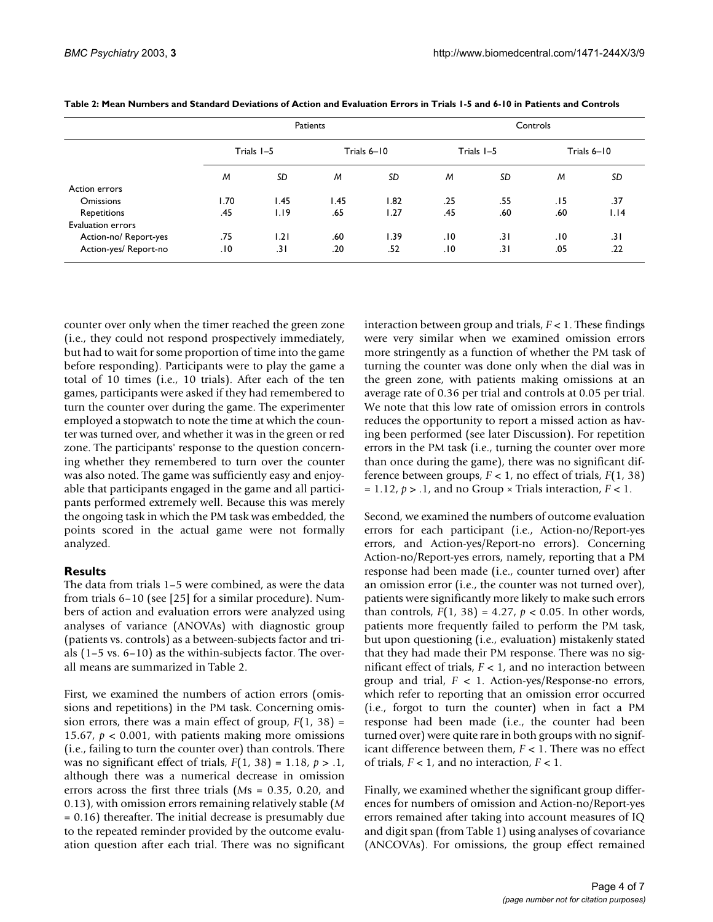|                       | Patients   |      |             |      | Controls   |     |             |      |
|-----------------------|------------|------|-------------|------|------------|-----|-------------|------|
|                       | Trials 1-5 |      | Trials 6-10 |      | Trials I-5 |     | Trials 6-10 |      |
|                       | M          | SD   | M           | SD   | M          | SD  | M           | SD   |
| Action errors         |            |      |             |      |            |     |             |      |
| <b>Omissions</b>      | 1.70       | 1.45 | 1.45        | 1.82 | .25        | .55 | .15         | .37  |
| Repetitions           | .45        | 1.19 | .65         | 1.27 | .45        | .60 | .60         | 1.14 |
| Evaluation errors     |            |      |             |      |            |     |             |      |
| Action-no/ Report-yes | .75        | 1.21 | .60         | 1.39 | .10        | .31 | .10         | .31  |
| Action-yes/ Report-no | .10        | .31  | .20         | .52  | .10        | .31 | .05         | .22  |

<span id="page-3-0"></span>**Table 2: Mean Numbers and Standard Deviations of Action and Evaluation Errors in Trials 1-5 and 6-10 in Patients and Controls**

counter over only when the timer reached the green zone (i.e., they could not respond prospectively immediately, but had to wait for some proportion of time into the game before responding). Participants were to play the game a total of 10 times (i.e., 10 trials). After each of the ten games, participants were asked if they had remembered to turn the counter over during the game. The experimenter employed a stopwatch to note the time at which the counter was turned over, and whether it was in the green or red zone. The participants' response to the question concerning whether they remembered to turn over the counter was also noted. The game was sufficiently easy and enjoyable that participants engaged in the game and all participants performed extremely well. Because this was merely the ongoing task in which the PM task was embedded, the points scored in the actual game were not formally analyzed.

# **Results**

The data from trials 1–5 were combined, as were the data from trials 6–10 (see [25] for a similar procedure). Numbers of action and evaluation errors were analyzed using analyses of variance (ANOVAs) with diagnostic group (patients vs. controls) as a between-subjects factor and trials (1–5 vs. 6–10) as the within-subjects factor. The overall means are summarized in Table [2](#page-3-0).

First, we examined the numbers of action errors (omissions and repetitions) in the PM task. Concerning omission errors, there was a main effect of group,  $F(1, 38) =$ 15.67,  $p < 0.001$ , with patients making more omissions (i.e., failing to turn the counter over) than controls. There was no significant effect of trials, *F*(1, 38) = 1.18, *p* > .1, although there was a numerical decrease in omission errors across the first three trials (*M*s = 0.35, 0.20, and 0.13), with omission errors remaining relatively stable (*M* = 0.16) thereafter. The initial decrease is presumably due to the repeated reminder provided by the outcome evaluation question after each trial. There was no significant interaction between group and trials, *F* < 1. These findings were very similar when we examined omission errors more stringently as a function of whether the PM task of turning the counter was done only when the dial was in the green zone, with patients making omissions at an average rate of 0.36 per trial and controls at 0.05 per trial. We note that this low rate of omission errors in controls reduces the opportunity to report a missed action as having been performed (see later Discussion). For repetition errors in the PM task (i.e., turning the counter over more than once during the game), there was no significant difference between groups, *F* < 1, no effect of trials, *F*(1, 38) = 1.12, *p* > .1, and no Group × Trials interaction, *F* < 1.

Second, we examined the numbers of outcome evaluation errors for each participant (i.e., Action-no/Report-yes errors, and Action-yes/Report-no errors). Concerning Action-no/Report-yes errors, namely, reporting that a PM response had been made (i.e., counter turned over) after an omission error (i.e., the counter was not turned over), patients were significantly more likely to make such errors than controls,  $F(1, 38) = 4.27$ ,  $p < 0.05$ . In other words, patients more frequently failed to perform the PM task, but upon questioning (i.e., evaluation) mistakenly stated that they had made their PM response. There was no significant effect of trials, *F* < 1, and no interaction between group and trial, *F* < 1. Action-yes/Response-no errors, which refer to reporting that an omission error occurred (i.e., forgot to turn the counter) when in fact a PM response had been made (i.e., the counter had been turned over) were quite rare in both groups with no significant difference between them, *F* < 1. There was no effect of trials, *F* < 1, and no interaction, *F* < 1.

Finally, we examined whether the significant group differences for numbers of omission and Action-no/Report-yes errors remained after taking into account measures of IQ and digit span (from Table [1](#page-2-0)) using analyses of covariance (ANCOVAs). For omissions, the group effect remained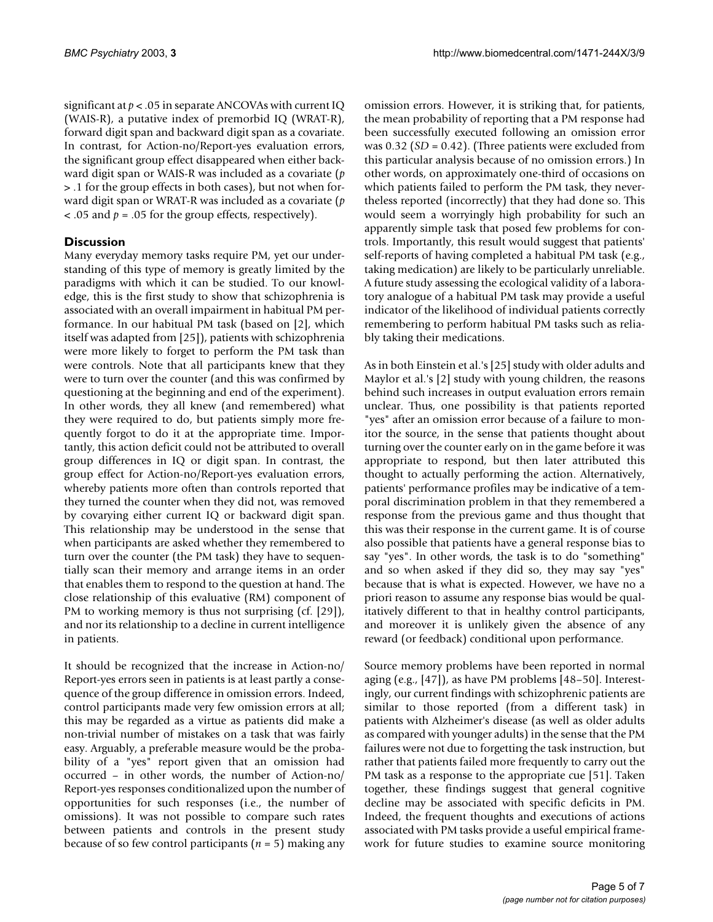significant at *p* < .05 in separate ANCOVAs with current IQ (WAIS-R), a putative index of premorbid IQ (WRAT-R), forward digit span and backward digit span as a covariate. In contrast, for Action-no/Report-yes evaluation errors, the significant group effect disappeared when either backward digit span or WAIS-R was included as a covariate (*p* > .1 for the group effects in both cases), but not when forward digit span or WRAT-R was included as a covariate (*p*  $\lt$  .05 and  $p = 0.05$  for the group effects, respectively).

# **Discussion**

Many everyday memory tasks require PM, yet our understanding of this type of memory is greatly limited by the paradigms with which it can be studied. To our knowledge, this is the first study to show that schizophrenia is associated with an overall impairment in habitual PM performance. In our habitual PM task (based on [2], which itself was adapted from [25]), patients with schizophrenia were more likely to forget to perform the PM task than were controls. Note that all participants knew that they were to turn over the counter (and this was confirmed by questioning at the beginning and end of the experiment). In other words, they all knew (and remembered) what they were required to do, but patients simply more frequently forgot to do it at the appropriate time. Importantly, this action deficit could not be attributed to overall group differences in IQ or digit span. In contrast, the group effect for Action-no/Report-yes evaluation errors, whereby patients more often than controls reported that they turned the counter when they did not, was removed by covarying either current IQ or backward digit span. This relationship may be understood in the sense that when participants are asked whether they remembered to turn over the counter (the PM task) they have to sequentially scan their memory and arrange items in an order that enables them to respond to the question at hand. The close relationship of this evaluative (RM) component of PM to working memory is thus not surprising (cf. [29]), and nor its relationship to a decline in current intelligence in patients.

It should be recognized that the increase in Action-no/ Report-yes errors seen in patients is at least partly a consequence of the group difference in omission errors. Indeed, control participants made very few omission errors at all; this may be regarded as a virtue as patients did make a non-trivial number of mistakes on a task that was fairly easy. Arguably, a preferable measure would be the probability of a "yes" report given that an omission had occurred – in other words, the number of Action-no/ Report-yes responses conditionalized upon the number of opportunities for such responses (i.e., the number of omissions). It was not possible to compare such rates between patients and controls in the present study because of so few control participants (*n* = 5) making any omission errors. However, it is striking that, for patients, the mean probability of reporting that a PM response had been successfully executed following an omission error was 0.32 (*SD* = 0.42). (Three patients were excluded from this particular analysis because of no omission errors.) In other words, on approximately one-third of occasions on which patients failed to perform the PM task, they nevertheless reported (incorrectly) that they had done so. This would seem a worryingly high probability for such an apparently simple task that posed few problems for controls. Importantly, this result would suggest that patients' self-reports of having completed a habitual PM task (e.g., taking medication) are likely to be particularly unreliable. A future study assessing the ecological validity of a laboratory analogue of a habitual PM task may provide a useful indicator of the likelihood of individual patients correctly remembering to perform habitual PM tasks such as reliably taking their medications.

As in both Einstein et al.'s [25] study with older adults and Maylor et al.'s [2] study with young children, the reasons behind such increases in output evaluation errors remain unclear. Thus, one possibility is that patients reported "yes" after an omission error because of a failure to monitor the source, in the sense that patients thought about turning over the counter early on in the game before it was appropriate to respond, but then later attributed this thought to actually performing the action. Alternatively, patients' performance profiles may be indicative of a temporal discrimination problem in that they remembered a response from the previous game and thus thought that this was their response in the current game. It is of course also possible that patients have a general response bias to say "yes". In other words, the task is to do "something" and so when asked if they did so, they may say "yes" because that is what is expected. However, we have no a priori reason to assume any response bias would be qualitatively different to that in healthy control participants, and moreover it is unlikely given the absence of any reward (or feedback) conditional upon performance.

Source memory problems have been reported in normal aging (e.g., [47]), as have PM problems [48–50]. Interestingly, our current findings with schizophrenic patients are similar to those reported (from a different task) in patients with Alzheimer's disease (as well as older adults as compared with younger adults) in the sense that the PM failures were not due to forgetting the task instruction, but rather that patients failed more frequently to carry out the PM task as a response to the appropriate cue [51]. Taken together, these findings suggest that general cognitive decline may be associated with specific deficits in PM. Indeed, the frequent thoughts and executions of actions associated with PM tasks provide a useful empirical framework for future studies to examine source monitoring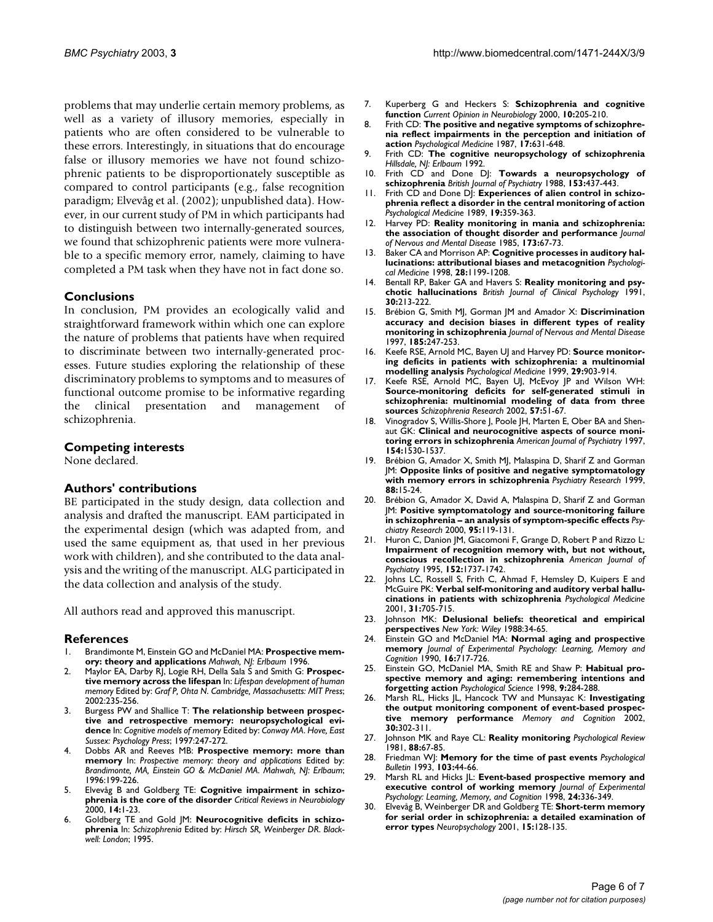problems that may underlie certain memory problems, as well as a variety of illusory memories, especially in patients who are often considered to be vulnerable to these errors. Interestingly, in situations that do encourage false or illusory memories we have not found schizophrenic patients to be disproportionately susceptible as compared to control participants (e.g., false recognition paradigm; Elvevåg et al. (2002); unpublished data). However, in our current study of PM in which participants had to distinguish between two internally-generated sources, we found that schizophrenic patients were more vulnerable to a specific memory error, namely, claiming to have completed a PM task when they have not in fact done so.

# **Conclusions**

In conclusion, PM provides an ecologically valid and straightforward framework within which one can explore the nature of problems that patients have when required to discriminate between two internally-generated processes. Future studies exploring the relationship of these discriminatory problems to symptoms and to measures of functional outcome promise to be informative regarding the clinical presentation and management of schizophrenia.

# **Competing interests**

None declared.

# **Authors' contributions**

BE participated in the study design, data collection and analysis and drafted the manuscript. EAM participated in the experimental design (which was adapted from, and used the same equipment as, that used in her previous work with children), and she contributed to the data analysis and the writing of the manuscript. ALG participated in the data collection and analysis of the study.

All authors read and approved this manuscript.

#### **References**

- 1. Brandimonte M, Einstein GO and McDaniel MA: **Prospective memory: theory and applications** *Mahwah, NJ: Erlbaum* 1996.
- 2. Maylor EA, Darby RJ, Logie RH, Della Sala S and Smith G: **Prospective memory across the lifespan** In: *Lifespan development of human memory* Edited by: *Graf P, Ohta N*. *Cambridge, Massachusetts: MIT Press*; 2002:235-256.
- 3. Burgess PW and Shallice T: **The relationship between prospective and retrospective memory: neuropsychological evidence** In: *Cognitive models of memory* Edited by: *Conway MA*. *Hove, East Sussex: Psychology Press*; 1997:247-272.
- 4. Dobbs AR and Reeves MB: **Prospective memory: more than memory** In: *Prospective memory: theory and applications* Edited by: *Brandimonte, MA, Einstein GO & McDaniel MA*. *Mahwah, NJ: Erlbaum*; 1996:199-226.
- 5. Elvevåg B and Goldberg TE: **[Cognitive impairment in schizo](http://www.ncbi.nlm.nih.gov/entrez/query.fcgi?cmd=Retrieve&db=PubMed&dopt=Abstract&list_uids=11253953)[phrenia is the core of the disorder](http://www.ncbi.nlm.nih.gov/entrez/query.fcgi?cmd=Retrieve&db=PubMed&dopt=Abstract&list_uids=11253953)** *Critical Reviews in Neurobiology* 2000, **14:**1-23.
- 6. Goldberg TE and Gold JM: **Neurocognitive deficits in schizophrenia** In: *Schizophrenia* Edited by: *Hirsch SR, Weinberger DR*. *Blackwell: London*; 1995.
- 7. Kuperberg G and Heckers S: **[Schizophrenia and cognitive](http://www.ncbi.nlm.nih.gov/entrez/query.fcgi?cmd=Retrieve&db=PubMed&dopt=Abstract&list_uids=10753790) [function](http://www.ncbi.nlm.nih.gov/entrez/query.fcgi?cmd=Retrieve&db=PubMed&dopt=Abstract&list_uids=10753790)** *Current Opinion in Neurobiology* 2000, **10:**205-210.
- 8. Frith CD: **[The positive and negative symptoms of schizophre](http://www.ncbi.nlm.nih.gov/entrez/query.fcgi?cmd=Retrieve&db=PubMed&dopt=Abstract&list_uids=3628624)[nia reflect impairments in the perception and initiation of](http://www.ncbi.nlm.nih.gov/entrez/query.fcgi?cmd=Retrieve&db=PubMed&dopt=Abstract&list_uids=3628624) [action](http://www.ncbi.nlm.nih.gov/entrez/query.fcgi?cmd=Retrieve&db=PubMed&dopt=Abstract&list_uids=3628624)** *Psychological Medicine* 1987, **17:**631-648.
- 9. Frith CD: **The cognitive neuropsychology of schizophrenia** *Hillsdale, NJ: Erlbaum* 1992.
- 10. Frith CD and Done DJ: **Towards a neuropsychology of schizophrenia** *British Journal of Psychiatry* 1988, **153:**437-443.
- 11. Frith CD and Done DJ: **[Experiences of alien control in schizo](http://www.ncbi.nlm.nih.gov/entrez/query.fcgi?cmd=Retrieve&db=PubMed&dopt=Abstract&list_uids=2762440)[phrenia reflect a disorder in the central monitoring of action](http://www.ncbi.nlm.nih.gov/entrez/query.fcgi?cmd=Retrieve&db=PubMed&dopt=Abstract&list_uids=2762440)** *Psychological Medicine* 1989, **19:**359-363.
- 12. Harvey PD: **[Reality monitoring in mania and schizophrenia:](http://www.ncbi.nlm.nih.gov/entrez/query.fcgi?cmd=Retrieve&db=PubMed&dopt=Abstract&list_uids=3968548) [the association of thought disorder and performance](http://www.ncbi.nlm.nih.gov/entrez/query.fcgi?cmd=Retrieve&db=PubMed&dopt=Abstract&list_uids=3968548)** *Journal of Nervous and Mental Disease* 1985, **173:**67-73.
- 13. Baker CA and Morrison AP: **[Cognitive processes in auditory hal](http://www.ncbi.nlm.nih.gov/entrez/query.fcgi?cmd=Retrieve&db=PubMed&dopt=Abstract&list_uids=9794027)[lucinations: attributional biases and metacognition](http://www.ncbi.nlm.nih.gov/entrez/query.fcgi?cmd=Retrieve&db=PubMed&dopt=Abstract&list_uids=9794027)** *Psychological Medicine* 1998, **28:**1199-1208.
- 14. Bentall RP, Baker GA and Havers S: **[Reality monitoring and psy](http://www.ncbi.nlm.nih.gov/entrez/query.fcgi?cmd=Retrieve&db=PubMed&dopt=Abstract&list_uids=1933040)[chotic hallucinations](http://www.ncbi.nlm.nih.gov/entrez/query.fcgi?cmd=Retrieve&db=PubMed&dopt=Abstract&list_uids=1933040)** *British Journal of Clinical Psychology* 1991, **30:**213-222.
- 15. Brébion G, Smith MJ, Gorman JM and Amador X: **[Discrimination](http://www.ncbi.nlm.nih.gov/entrez/query.fcgi?cmd=Retrieve&db=PubMed&dopt=Abstract&list_uids=9114810) [accuracy and decision biases in different types of reality](http://www.ncbi.nlm.nih.gov/entrez/query.fcgi?cmd=Retrieve&db=PubMed&dopt=Abstract&list_uids=9114810) [monitoring in schizophrenia](http://www.ncbi.nlm.nih.gov/entrez/query.fcgi?cmd=Retrieve&db=PubMed&dopt=Abstract&list_uids=9114810)** *Journal of Nervous and Mental Disease* 1997, **185:**247-253.
- 16. Keefe RSE, Arnold MC, Bayen UJ and Harvey PD: **[Source monitor](http://www.ncbi.nlm.nih.gov/entrez/query.fcgi?cmd=Retrieve&db=PubMed&dopt=Abstract&list_uids=10473317)[ing deficits in patients with schizophrenia: a multinomial](http://www.ncbi.nlm.nih.gov/entrez/query.fcgi?cmd=Retrieve&db=PubMed&dopt=Abstract&list_uids=10473317) [modelling analysis](http://www.ncbi.nlm.nih.gov/entrez/query.fcgi?cmd=Retrieve&db=PubMed&dopt=Abstract&list_uids=10473317)** *Psychological Medicine* 1999, **29:**903-914.
- 17. Keefe RSE, Arnold MC, Bayen UJ, McEvoy JP and Wilson WH: **Source-monitoring deficits for self-generated stimuli in [schizophrenia: multinomial modeling of data from three](http://www.ncbi.nlm.nih.gov/entrez/query.fcgi?cmd=Retrieve&db=PubMed&dopt=Abstract&list_uids=12165376) [sources](http://www.ncbi.nlm.nih.gov/entrez/query.fcgi?cmd=Retrieve&db=PubMed&dopt=Abstract&list_uids=12165376)** *Schizophrenia Research* 2002, **57:**51-67.
- 18. Vinogradov S, Willis-Shore J, Poole JH, Marten E, Ober BA and Shenaut GK: **[Clinical and neurocognitive aspects of source moni](http://www.ncbi.nlm.nih.gov/entrez/query.fcgi?cmd=Retrieve&db=PubMed&dopt=Abstract&list_uids=9356560)[toring errors in schizophrenia](http://www.ncbi.nlm.nih.gov/entrez/query.fcgi?cmd=Retrieve&db=PubMed&dopt=Abstract&list_uids=9356560)** *American Journal of Psychiatry* 1997, **154:**1530-1537.
- Brébion G, Amador X, Smith MJ, Malaspina D, Sharif Z and Gorman JM: **[Opposite links of positive and negative symptomatology](http://www.ncbi.nlm.nih.gov/entrez/query.fcgi?cmd=Retrieve&db=PubMed&dopt=Abstract&list_uids=10641583) [with memory errors in schizophrenia](http://www.ncbi.nlm.nih.gov/entrez/query.fcgi?cmd=Retrieve&db=PubMed&dopt=Abstract&list_uids=10641583)** *Psychiatry Research* 1999, **88:**15-24.
- 20. Brébion G, Amador X, David A, Malaspina D, Sharif Z and Gorman JM: **[Positive symptomatology and source-monitoring failure](http://www.ncbi.nlm.nih.gov/entrez/query.fcgi?cmd=Retrieve&db=PubMed&dopt=Abstract&list_uids=10963798) [in schizophrenia – an analysis of symptom-specific effects](http://www.ncbi.nlm.nih.gov/entrez/query.fcgi?cmd=Retrieve&db=PubMed&dopt=Abstract&list_uids=10963798)** *Psychiatry Research* 2000, **95:**119-131.
- 21. Huron C, Danion JM, Giacomoni F, Grange D, Robert P and Rizzo L: **[Impairment of recognition memory with, but not without,](http://www.ncbi.nlm.nih.gov/entrez/query.fcgi?cmd=Retrieve&db=PubMed&dopt=Abstract&list_uids=8526239) [conscious recollection in schizophrenia](http://www.ncbi.nlm.nih.gov/entrez/query.fcgi?cmd=Retrieve&db=PubMed&dopt=Abstract&list_uids=8526239)** *American Journal of Psychiatry* 1995, **152:**1737-1742.
- 22. Johns LC, Rossell S, Frith C, Ahmad F, Hemsley D, Kuipers E and McGuire PK: **[Verbal self-monitoring and auditory verbal hallu](http://www.ncbi.nlm.nih.gov/entrez/query.fcgi?cmd=Retrieve&db=PubMed&dopt=Abstract&list_uids=11352372)[cinations in patients with schizophrenia](http://www.ncbi.nlm.nih.gov/entrez/query.fcgi?cmd=Retrieve&db=PubMed&dopt=Abstract&list_uids=11352372)** *Psychological Medicine* 2001, **31:**705-715.
- 23. Johnson MK: **Delusional beliefs: theoretical and empirical perspectives** *New York: Wiley* 1988:34-65.
- 24. Einstein GO and McDaniel MA: **Normal aging and prospective memory** *Journal of Experimental Psychology: Learning, Memory and Cognition* 1990, **16:**717-726.
- 25. Einstein GO, McDaniel MA, Smith RE and Shaw P: **Habitual prospective memory and aging: remembering intentions and forgetting action** *Psychological Science* 1998, **9:**284-288.
- 26. Marsh RL, Hicks JL, Hancock TW and Munsayac K: **Investigating the output monitoring component of event-based prospective memory performance** *Memory and Cognition* 2002, **30:**302-311.
- 27. Johnson MK and Raye CL: **Reality monitoring** *Psychological Review* 1981, **88:**67-85.
- 28. Friedman WJ: **Memory for the time of past events** *Psychological Bulletin* 1993, **103:**44-66.
- 29. Marsh RL and Hicks JL: **[Event-based prospective memory and](http://www.ncbi.nlm.nih.gov/entrez/query.fcgi?cmd=Retrieve&db=PubMed&dopt=Abstract&list_uids=9530843) [executive control of working memory](http://www.ncbi.nlm.nih.gov/entrez/query.fcgi?cmd=Retrieve&db=PubMed&dopt=Abstract&list_uids=9530843)** *Journal of Experimental Psychology: Learning, Memory, and Cognition* 1998, **24:**336-349.
- 30. Elvevåg B, Weinberger DR and Goldberg TE: **[Short-term memory](http://www.ncbi.nlm.nih.gov/entrez/query.fcgi?cmd=Retrieve&db=PubMed&dopt=Abstract&list_uids=11216883) [for serial order in schizophrenia: a detailed examination of](http://www.ncbi.nlm.nih.gov/entrez/query.fcgi?cmd=Retrieve&db=PubMed&dopt=Abstract&list_uids=11216883) [error types](http://www.ncbi.nlm.nih.gov/entrez/query.fcgi?cmd=Retrieve&db=PubMed&dopt=Abstract&list_uids=11216883)** *Neuropsychology* 2001, **15:**128-135.